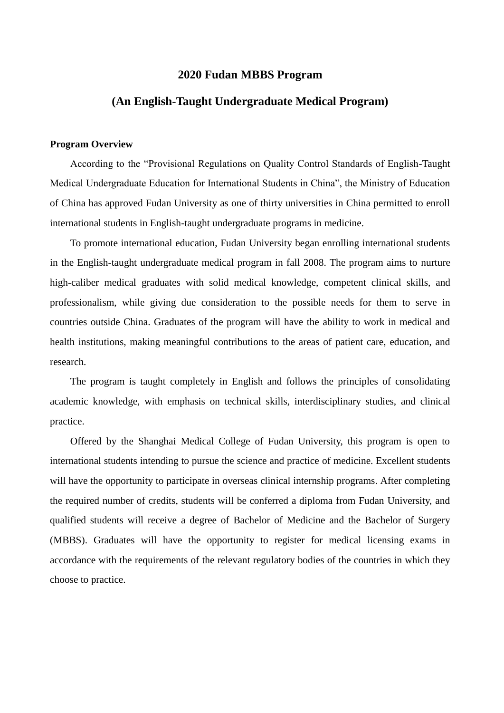#### **2020 Fudan MBBS Program**

## **(An English-Taught Undergraduate Medical Program)**

#### **Program Overview**

According to the "Provisional Regulations on Quality Control Standards of English-Taught Medical Undergraduate Education for International Students in China", the Ministry of Education of China has approved Fudan University as one of thirty universities in China permitted to enroll international students in English-taught undergraduate programs in medicine.

To promote international education, Fudan University began enrolling international students in the English-taught undergraduate medical program in fall 2008. The program aims to nurture high-caliber medical graduates with solid medical knowledge, competent clinical skills, and professionalism, while giving due consideration to the possible needs for them to serve in countries outside China. Graduates of the program will have the ability to work in medical and health institutions, making meaningful contributions to the areas of patient care, education, and research.

The program is taught completely in English and follows the principles of consolidating academic knowledge, with emphasis on technical skills, interdisciplinary studies, and clinical practice.

Offered by the Shanghai Medical College of Fudan University, this program is open to international students intending to pursue the science and practice of medicine. Excellent students will have the opportunity to participate in overseas clinical internship programs. After completing the required number of credits, students will be conferred a diploma from Fudan University, and qualified students will receive a degree of Bachelor of Medicine and the Bachelor of Surgery (MBBS). Graduates will have the opportunity to register for medical licensing exams in accordance with the requirements of the relevant regulatory bodies of the countries in which they choose to practice.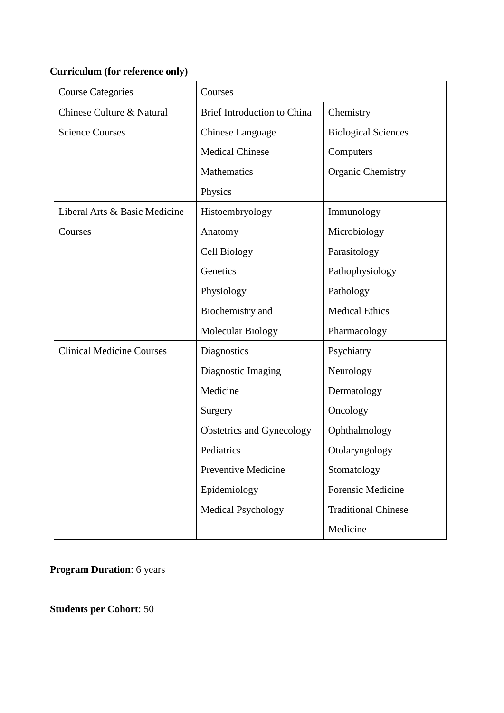# **Curriculum (for reference only)**

| <b>Course Categories</b>         | Courses                            |                            |  |  |
|----------------------------------|------------------------------------|----------------------------|--|--|
| Chinese Culture & Natural        | <b>Brief Introduction to China</b> | Chemistry                  |  |  |
| <b>Science Courses</b>           | <b>Chinese Language</b>            | <b>Biological Sciences</b> |  |  |
|                                  | <b>Medical Chinese</b>             | Computers                  |  |  |
|                                  | Mathematics                        | Organic Chemistry          |  |  |
|                                  | Physics                            |                            |  |  |
| Liberal Arts & Basic Medicine    | Histoembryology                    | Immunology                 |  |  |
| Courses                          | Anatomy                            | Microbiology               |  |  |
|                                  | Cell Biology                       | Parasitology               |  |  |
|                                  | Genetics                           | Pathophysiology            |  |  |
|                                  | Physiology                         | Pathology                  |  |  |
|                                  | Biochemistry and                   | <b>Medical Ethics</b>      |  |  |
|                                  | Molecular Biology                  | Pharmacology               |  |  |
| <b>Clinical Medicine Courses</b> | Diagnostics                        | Psychiatry                 |  |  |
|                                  | Diagnostic Imaging                 | Neurology                  |  |  |
|                                  | Medicine                           | Dermatology                |  |  |
|                                  | Surgery                            | Oncology                   |  |  |
|                                  | Obstetrics and Gynecology          | Ophthalmology              |  |  |
|                                  | Pediatrics                         | Otolaryngology             |  |  |
|                                  | <b>Preventive Medicine</b>         | Stomatology                |  |  |
|                                  | Epidemiology                       | <b>Forensic Medicine</b>   |  |  |
|                                  | <b>Medical Psychology</b>          | <b>Traditional Chinese</b> |  |  |
|                                  |                                    | Medicine                   |  |  |

# **Program Duration**: 6 years

**Students per Cohort**: 50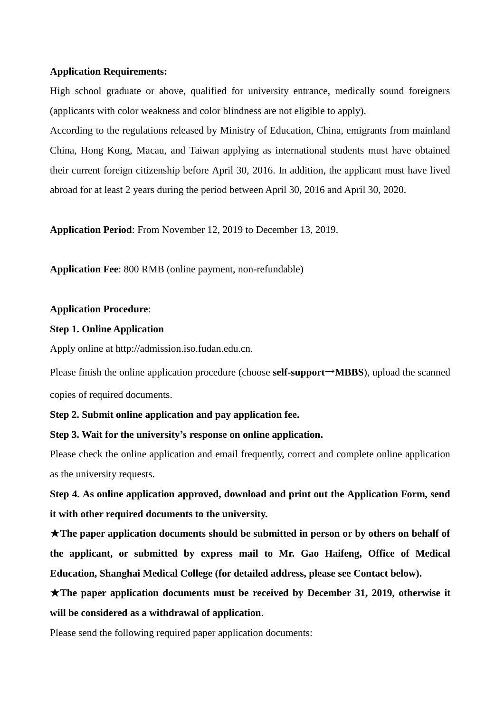#### **Application Requirements:**

High school graduate or above, qualified for university entrance, medically sound foreigners (applicants with color weakness and color blindness are not eligible to apply).

According to the regulations released by Ministry of Education, China, emigrants from mainland China, Hong Kong, Macau, and Taiwan applying as international students must have obtained their current foreign citizenship before April 30, 2016. In addition, the applicant must have lived abroad for at least 2 years during the period between April 30, 2016 and April 30, 2020.

**Application Period**: From November 12, 2019 to December 13, 2019.

**Application Fee**: 800 RMB (online payment, non-refundable)

#### **Application Procedure**:

#### **Step 1. Online Application**

Apply online at http://admission.iso.fudan.edu.cn.

Please finish the online application procedure (choose **self-support→MBBS**), upload the scanned copies of required documents.

**Step 2. Submit online application and pay application fee.** 

## **Step 3. Wait for the university's response on online application.**

Please check the online application and email frequently, correct and complete online application as the university requests.

**Step 4. As online application approved, download and print out the Application Form, send it with other required documents to the university.**

★**The paper application documents should be submitted in person or by others on behalf of the applicant, or submitted by express mail to Mr. Gao Haifeng, Office of Medical Education, Shanghai Medical College (for detailed address, please see Contact below).**

★**The paper application documents must be received by December 31, 2019, otherwise it will be considered as a withdrawal of application**.

Please send the following required paper application documents: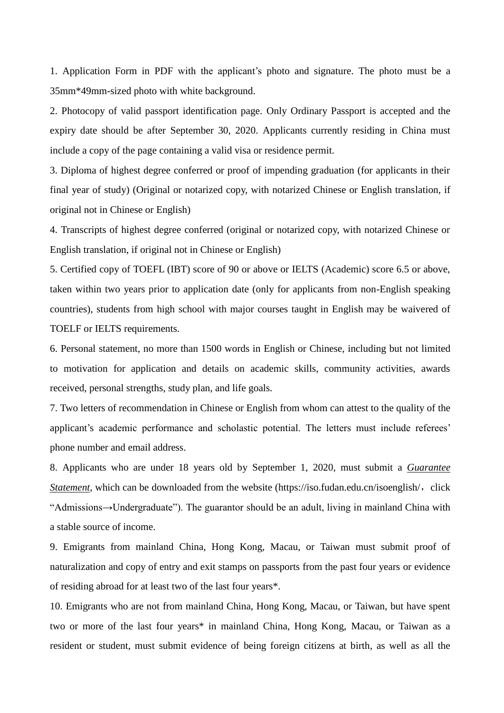1. Application Form in PDF with the applicant's photo and signature. The photo must be a 35mm\*49mm-sized photo with white background.

2. Photocopy of valid passport identification page. Only Ordinary Passport is accepted and the expiry date should be after September 30, 2020. Applicants currently residing in China must include a copy of the page containing a valid visa or residence permit.

3. Diploma of highest degree conferred or proof of impending graduation (for applicants in their final year of study) (Original or notarized copy, with notarized Chinese or English translation, if original not in Chinese or English)

4. Transcripts of highest degree conferred (original or notarized copy, with notarized Chinese or English translation, if original not in Chinese or English)

5. Certified copy of TOEFL (IBT) score of 90 or above or IELTS (Academic) score 6.5 or above, taken within two years prior to application date (only for applicants from non-English speaking countries), students from high school with major courses taught in English may be waivered of TOELF or IELTS requirements.

6. Personal statement, no more than 1500 words in English or Chinese, including but not limited to motivation for application and details on academic skills, community activities, awards received, personal strengths, study plan, and life goals.

7. Two letters of recommendation in Chinese or English from whom can attest to the quality of the applicant's academic performance and scholastic potential. The letters must include referees' phone number and email address.

8. Applicants who are under 18 years old by September 1, 2020, must submit a *Guarantee Statement*, which can be downloaded from the website (https://iso.fudan.edu.cn/isoenglish/, click "Admissions→Undergraduate"). The guarantor should be an adult, living in mainland China with a stable source of income.

9. Emigrants from mainland China, Hong Kong, Macau, or Taiwan must submit proof of naturalization and copy of entry and exit stamps on passports from the past four years or evidence of residing abroad for at least two of the last four years\*.

10. Emigrants who are not from mainland China, Hong Kong, Macau, or Taiwan, but have spent two or more of the last four years\* in mainland China, Hong Kong, Macau, or Taiwan as a resident or student, must submit evidence of being foreign citizens at birth, as well as all the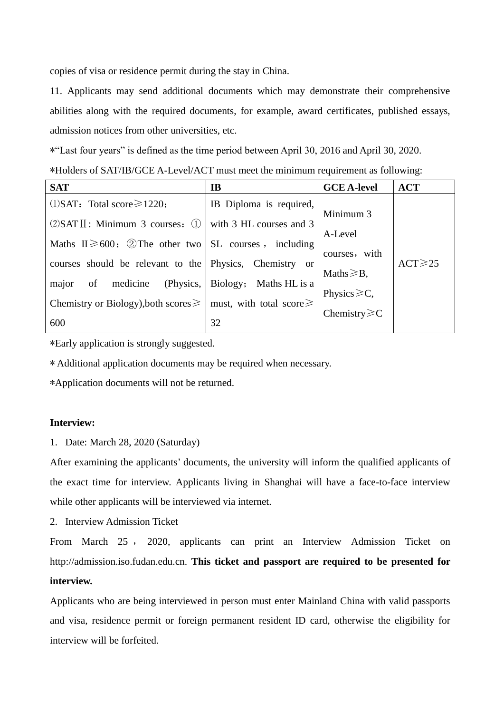copies of visa or residence permit during the stay in China.

11. Applicants may send additional documents which may demonstrate their comprehensive abilities along with the required documents, for example, award certificates, published essays, admission notices from other universities, etc.

\*"Last four years" is defined as the time period between April 30, 2016 and April 30, 2020.

| *Holders of SAT/IB/GCE A-Level/ACT must meet the minimum requirement as following: |  |
|------------------------------------------------------------------------------------|--|
|------------------------------------------------------------------------------------|--|

| <b>SAT</b>                                                 | <b>IB</b>                           | <b>GCE A-level</b> | <b>ACT</b>   |
|------------------------------------------------------------|-------------------------------------|--------------------|--------------|
| $(1)$ SAT: Total score $\geq 1220$ ;                       | IB Diploma is required,             |                    |              |
| $(2)$ SAT II: Minimum 3 courses: $(1)$                     | with 3 HL courses and 3             | Minimum 3          |              |
| Maths $II \ge 600$ ; ② The other two SL courses, including |                                     | A-Level            |              |
| courses should be relevant to the                          | Physics, Chemistry<br><sub>or</sub> | courses, with      | $ACT \ge 25$ |
| (Physics,<br>medicine<br>- of<br>major                     | Biology;<br>Maths HL is a           | Maths $\geq B$ ,   |              |
|                                                            |                                     | Physics $\geq C$ , |              |
| Chemistry or Biology), both scores $\geq$                  | must, with total score $\geq$       | Chemistry $\geq$ C |              |
| 600                                                        | 32                                  |                    |              |

\*Early application is strongly suggested.

\* Additional application documents may be required when necessary.

\*Application documents will not be returned.

### **Interview:**

1. Date: March 28, 2020 (Saturday)

After examining the applicants' documents, the university will inform the qualified applicants of the exact time for interview. Applicants living in Shanghai will have a face-to-face interview while other applicants will be interviewed via internet.

2. Interview Admission Ticket

From March 25 , 2020, applicants can print an Interview Admission Ticket on http://admission.iso.fudan.edu.cn. **This ticket and passport are required to be presented for interview.**

Applicants who are being interviewed in person must enter Mainland China with valid passports and visa, residence permit or foreign permanent resident ID card, otherwise the eligibility for interview will be forfeited.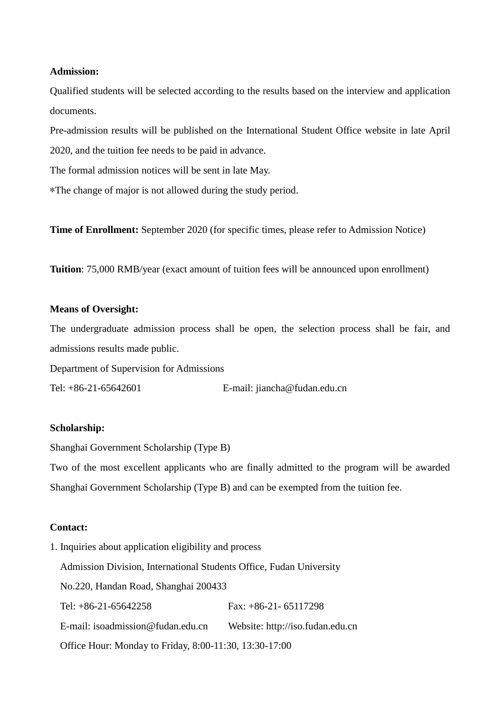## **Admission:**

Qualified students will be selected according to the results based on the interview and application documents.

Pre-admission results will be published on the International Student Office website in late April 2020, and the tuition fee needs to be paid in advance.

The formal admission notices will be sent in late May.

\*The change of major is not allowed during the study period.

**Time of Enrollment:** September 2020 (for specific times, please refer to Admission Notice)

**Tuition**: 75,000 RMB/year (exact amount of tuition fees will be announced upon enrollment)

### **Means of Oversight:**

The undergraduate admission process shall be open, the selection process shall be fair, and admissions results made public.

Department of Supervision for Admissions

Tel: +86-21-65642601 E-mail: [jiancha@fudan.edu.cn](mailto:jiancha@fudan.edu.cn)

### **Scholarship:**

Shanghai Government Scholarship (Type B)

Two of the most excellent applicants who are finally admitted to the program will be awarded Shanghai Government Scholarship (Type B) and can be exempted from the tuition fee.

### **Contact:**

1. Inquiries about application eligibility and process Admission Division, International Students Office, Fudan University No.220, Handan Road, Shanghai 200433 Tel: +86-21-65642258 Fax: +86-21- 65117298 E-mail: isoadmission@fudan.edu.cn Website: http://iso.fudan.edu.cn Office Hour: Monday to Friday, 8:00-11:30, 13:30-17:00